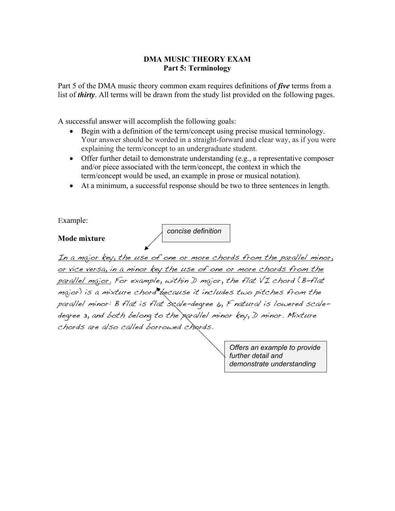## **DMA MUSIC THEORY EXAM Part 5: Terminology**

Part 5 of the DMA music theory common exam requires definitions of *five* terms from a list of *thirty*. All terms will be drawn from the study list provided on the following pages.

A successful answer will accomplish the following goals:

- Begin with a definition of the term/concept using precise musical terminology. Your answer should be worded in a straight-forward and clear way, as if you were explaining the term/concept to an undergraduate student.
- Offer further detail to demonstrate understanding (e.g., a representative composer and/or piece associated with the term/concept, the context in which the term/concept would be used, an example in prose or musical notation).
- At a minimum, a successful response should be two to three sentences in length.

Example:

*concise definition*

**Mode mixture**

In a major key, the use of one or more chords from the parallel minor, or vice versa, in a minor key the use of one or more chords from the parallel major. For example, within D major, the flat VI chord (B-flat major) is a mixture chord because it includes two pitches from the parallel minor: B flat is flat scale-degree 6, F natural is lowered scaledegree 3, and both belong to the parallel minor key, D minor. Mixture chords are also called borrowed chords.

> *Offers an example to provide further detail and demonstrate understanding*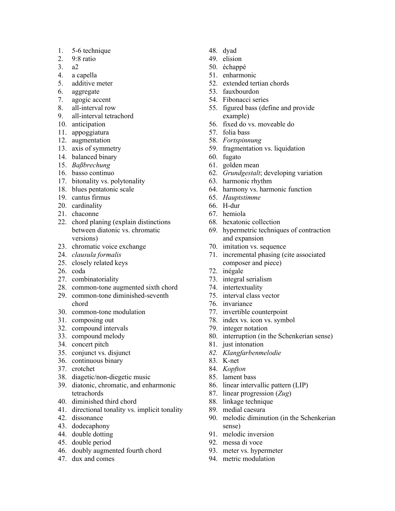- 1. 5-6 technique
- 2. 9:8 ratio
- 3. a2
- 4. a capella
- 5. additive meter
- 6. aggregate
- 7. agogic accent
- 8. all-interval row
- 9. all-interval tetrachord
- 10. anticipation
- 11. appoggiatura
- 12. augmentation
- 13. axis of symmetry
- 14. balanced binary
- 15. *Baßbrechung*
- 16. basso continuo
- 17. bitonality vs. polytonality
- 18. blues pentatonic scale
- 19. cantus firmus
- 20. cardinality
- 21. chaconne
- 22. chord planing (explain distinctions between diatonic vs. chromatic versions)
- 23. chromatic voice exchange
- 24. *clausula formalis*
- 25. closely related keys
- 26. coda
- 27. combinatoriality
- 28. common-tone augmented sixth chord
- 29. common-tone diminished-seventh chord
- 30. common-tone modulation
- 31. composing out
- 32. compound intervals
- 33. compound melody
- 34. concert pitch
- 35. conjunct vs. disjunct
- 36. continuous binary
- 37. crotchet
- 38. diagetic/non-diegetic music
- 39. diatonic, chromatic, and enharmonic tetrachords
- 40. diminished third chord
- 41. directional tonality vs. implicit tonality
- 42. dissonance
- 43. dodecaphony
- 44. double dotting
- 45. double period
- 46. doubly augmented fourth chord
- 47. dux and comes
- 48. dyad
- 49. elision
- 50. échappé
- 51. enharmonic
- 52. extended tertian chords
- 53. fauxbourdon
- 54. Fibonacci series
- 55. figured bass (define and provide example)
- 56. fixed do vs. moveable do
- 57. folia bass
- 58. *Fortspinnung*
- 59. fragmentation vs. liquidation
- 60. fugato
- 61. golden mean
- 62. *Grundgestalt*; developing variation
- 63. harmonic rhythm
- 64. harmony vs. harmonic function
- 65. *Hauptstimme*
- 66. H-dur
- 67. hemiola
- 68. hexatonic collection
- 69. hypermetric techniques of contraction and expansion
- 70. imitation vs. sequence
- 71. incremental phasing (cite associated composer and piece)
- 72. inégale
- 73. integral serialism
- 74. intertextuality
- 75. interval class vector
- 76. invariance
- 77. invertible counterpoint
- 78. index vs. icon vs. symbol
- 79. integer notation
- 80. interruption (in the Schenkerian sense)
- 81. just intonation
- *82. Klangfarbenmelodie*
- 83. K-net
- 84. *Kopfton*
- 85. lament bass
- 86. linear intervallic pattern (LIP)
- 87. linear progression (*Zug*)
- 88. linkage technique
- 89. medial caesura
- 90. melodic diminution (in the Schenkerian sense)
- 91. melodic inversion
- 92. messa di voce
- 93. meter vs. hypermeter
- 94. metric modulation